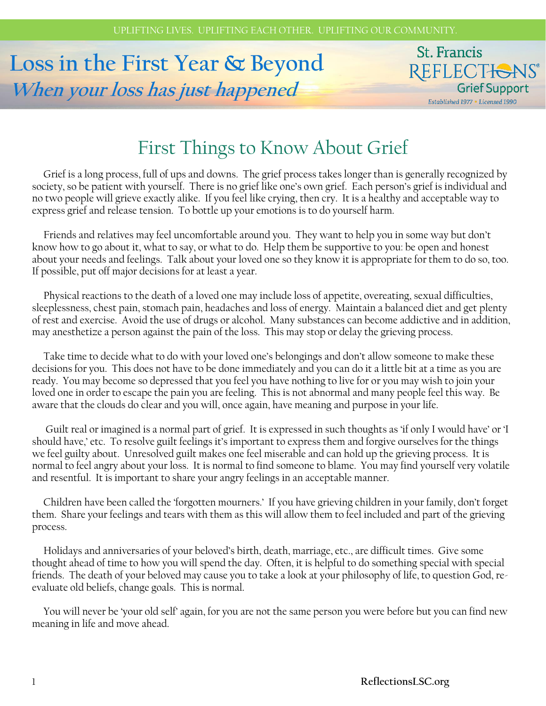# **Loss in the First Year & Beyond When your loss has just happened**

### St. Francis REFLECTIONS® Grief Support Established 1977 . Licensed 1990

# First Things to Know About Grief

 Grief is a long process, full of ups and downs. The grief process takes longer than is generally recognized by society, so be patient with yourself. There is no grief like one's own grief. Each person's grief is individual and no two people will grieve exactly alike. If you feel like crying, then cry. It is a healthy and acceptable way to express grief and release tension. To bottle up your emotions is to do yourself harm.

 Friends and relatives may feel uncomfortable around you. They want to help you in some way but don't know how to go about it, what to say, or what to do. Help them be supportive to you: be open and honest about your needs and feelings. Talk about your loved one so they know it is appropriate for them to do so, too. If possible, put off major decisions for at least a year.

 Physical reactions to the death of a loved one may include loss of appetite, overeating, sexual difficulties, sleeplessness, chest pain, stomach pain, headaches and loss of energy. Maintain a balanced diet and get plenty of rest and exercise. Avoid the use of drugs or alcohol. Many substances can become addictive and in addition, may anesthetize a person against the pain of the loss. This may stop or delay the grieving process.

 Take time to decide what to do with your loved one's belongings and don't allow someone to make these decisions for you. This does not have to be done immediately and you can do it a little bit at a time as you are ready. You may become so depressed that you feel you have nothing to live for or you may wish to join your loved one in order to escape the pain you are feeling. This is not abnormal and many people feel this way. Be aware that the clouds do clear and you will, once again, have meaning and purpose in your life.

 Guilt real or imagined is a normal part of grief. It is expressed in such thoughts as 'if only I would have' or 'I should have,' etc. To resolve guilt feelings it's important to express them and forgive ourselves for the things we feel guilty about. Unresolved guilt makes one feel miserable and can hold up the grieving process. It is normal to feel angry about your loss. It is normal to find someone to blame. You may find yourself very volatile and resentful. It is important to share your angry feelings in an acceptable manner.

 Children have been called the 'forgotten mourners.' If you have grieving children in your family, don't forget them. Share your feelings and tears with them as this will allow them to feel included and part of the grieving process.

 Holidays and anniversaries of your beloved's birth, death, marriage, etc., are difficult times. Give some thought ahead of time to how you will spend the day. Often, it is helpful to do something special with special friends. The death of your beloved may cause you to take a look at your philosophy of life, to question God, reevaluate old beliefs, change goals. This is normal.

 You will never be 'your old self' again, for you are not the same person you were before but you can find new meaning in life and move ahead.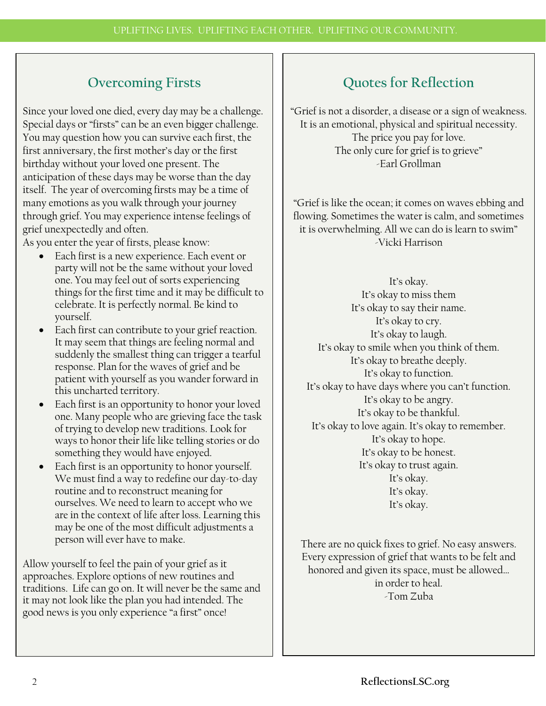# **Overcoming Firsts**

Since your loved one died, every day may be a challenge. Special days or "firsts" can be an even bigger challenge. You may question how you can survive each first, the first anniversary, the first mother's day or the first birthday without your loved one present. The anticipation of these days may be worse than the day itself. The year of overcoming firsts may be a time of many emotions as you walk through your journey through grief. You may experience intense feelings of grief unexpectedly and often.

As you enter the year of firsts, please know:

- Each first is a new experience. Each event or party will not be the same without your loved one. You may feel out of sorts experiencing things for the first time and it may be difficult to celebrate. It is perfectly normal. Be kind to yourself.
- Each first can contribute to your grief reaction. It may seem that things are feeling normal and suddenly the smallest thing can trigger a tearful response. Plan for the waves of grief and be patient with yourself as you wander forward in this uncharted territory.
- Each first is an opportunity to honor your loved one. Many people who are grieving face the task of trying to develop new traditions. Look for ways to honor their life like telling stories or do something they would have enjoyed.
- Each first is an opportunity to honor yourself. We must find a way to redefine our day-to-day routine and to reconstruct meaning for ourselves. We need to learn to accept who we are in the context of life after loss. Learning this may be one of the most difficult adjustments a person will ever have to make.

Allow yourself to feel the pain of your grief as it approaches. Explore options of new routines and traditions. Life can go on. It will never be the same and it may not look like the plan you had intended. The good news is you only experience "a first" once!

# **Quotes for Reflection**

"Grief is not a disorder, a disease or a sign of weakness. It is an emotional, physical and spiritual necessity. The price you pay for love. The only cure for grief is to grieve" -Earl Grollman

"Grief is like the ocean; it comes on waves ebbing and flowing. Sometimes the water is calm, and sometimes it is overwhelming. All we can do is learn to swim" -Vicki Harrison

It's okay. It's okay to miss them It's okay to say their name. It's okay to cry. It's okay to laugh. It's okay to smile when you think of them. It's okay to breathe deeply. It's okay to function. It's okay to have days where you can't function. It's okay to be angry. It's okay to be thankful. It's okay to love again. It's okay to remember. It's okay to hope. It's okay to be honest. It's okay to trust again. It's okay. It's okay. It's okay.

There are no quick fixes to grief. No easy answers. Every expression of grief that wants to be felt and honored and given its space, must be allowed… in order to heal. -Tom Zuba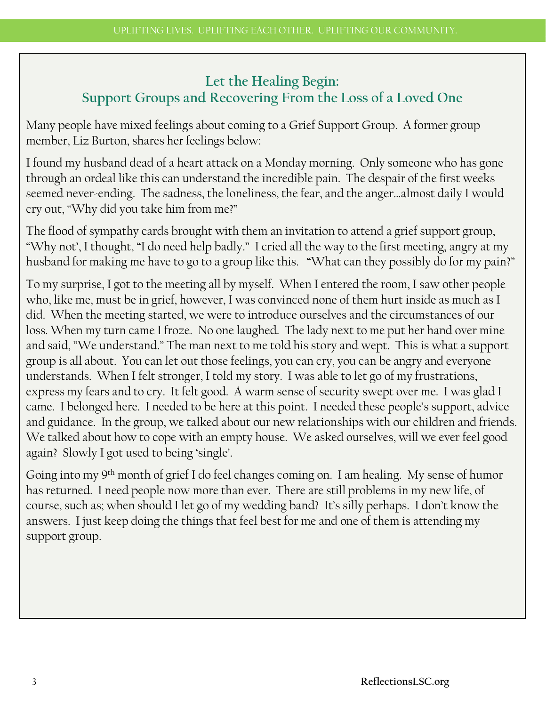### **Let the Healing Begin: Support Groups and Recovering From the Loss of a Loved One**

Many people have mixed feelings about coming to a Grief Support Group. A former group member, Liz Burton, shares her feelings below:

I found my husband dead of a heart attack on a Monday morning. Only someone who has gone through an ordeal like this can understand the incredible pain. The despair of the first weeks seemed never-ending. The sadness, the loneliness, the fear, and the anger…almost daily I would cry out, "Why did you take him from me?"

The flood of sympathy cards brought with them an invitation to attend a grief support group, "Why not', I thought, "I do need help badly." I cried all the way to the first meeting, angry at my husband for making me have to go to a group like this. "What can they possibly do for my pain?"

To my surprise, I got to the meeting all by myself. When I entered the room, I saw other people who, like me, must be in grief, however, I was convinced none of them hurt inside as much as I did. When the meeting started, we were to introduce ourselves and the circumstances of our loss. When my turn came I froze. No one laughed. The lady next to me put her hand over mine and said, "We understand." The man next to me told his story and wept. This is what a support group is all about. You can let out those feelings, you can cry, you can be angry and everyone understands. When I felt stronger, I told my story. I was able to let go of my frustrations, express my fears and to cry. It felt good. A warm sense of security swept over me. I was glad I came. I belonged here. I needed to be here at this point. I needed these people's support, advice and guidance. In the group, we talked about our new relationships with our children and friends. We talked about how to cope with an empty house. We asked ourselves, will we ever feel good again? Slowly I got used to being 'single'.

Going into my 9th month of grief I do feel changes coming on. I am healing. My sense of humor has returned. I need people now more than ever. There are still problems in my new life, of course, such as; when should I let go of my wedding band? It's silly perhaps. I don't know the answers. I just keep doing the things that feel best for me and one of them is attending my support group.